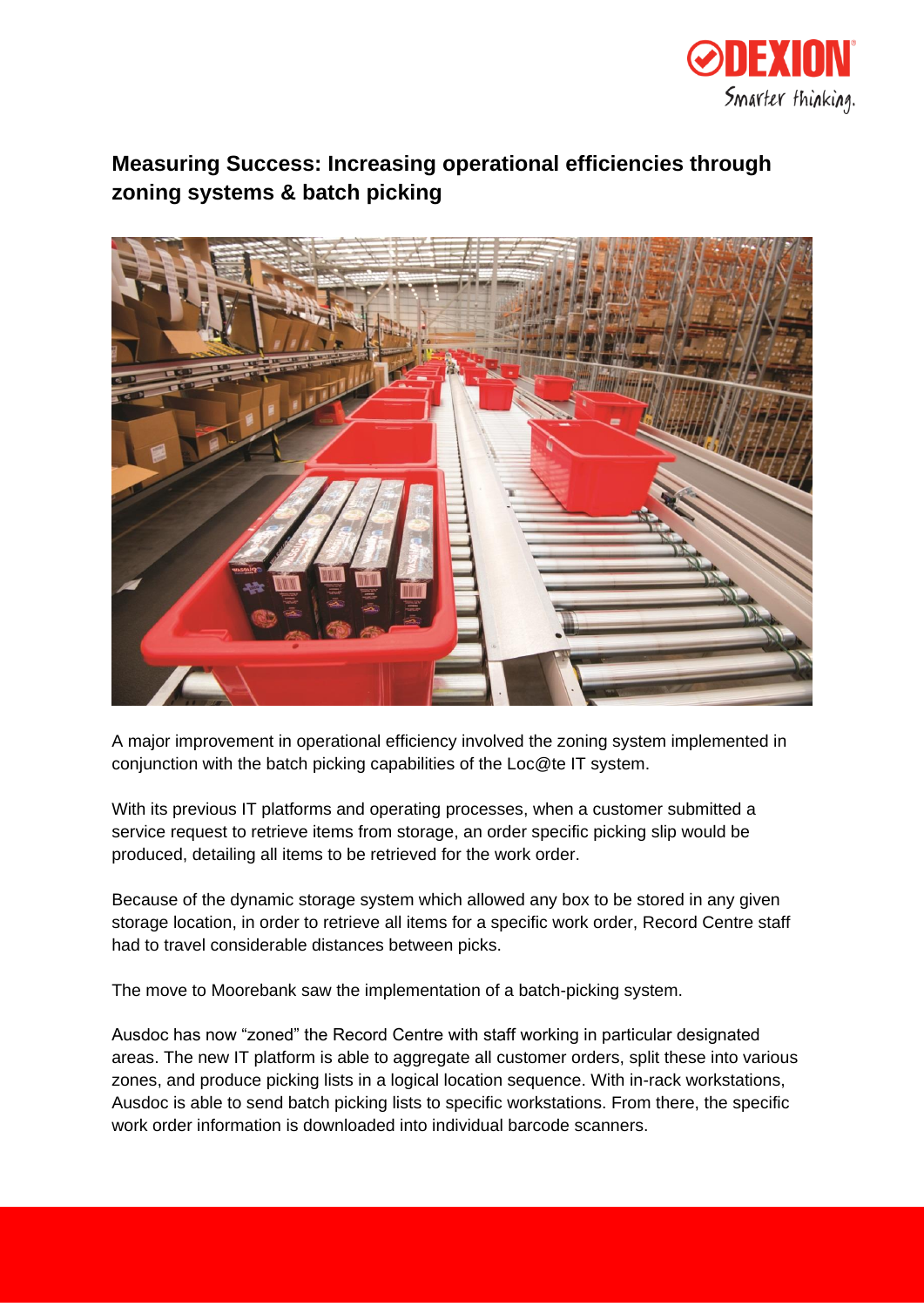

## **Measuring Success: Increasing operational efficiencies through zoning systems & batch picking**



A major improvement in operational efficiency involved the zoning system implemented in conjunction with the batch picking capabilities of the Loc@te IT system.

With its previous IT platforms and operating processes, when a customer submitted a service request to retrieve items from storage, an order specific picking slip would be produced, detailing all items to be retrieved for the work order.

Because of the dynamic storage system which allowed any box to be stored in any given storage location, in order to retrieve all items for a specific work order, Record Centre staff had to travel considerable distances between picks.

The move to Moorebank saw the implementation of a batch-picking system.

Ausdoc has now "zoned" the Record Centre with staff working in particular designated areas. The new IT platform is able to aggregate all customer orders, split these into various zones, and produce picking lists in a logical location sequence. With in-rack workstations, Ausdoc is able to send batch picking lists to specific workstations. From there, the specific work order information is downloaded into individual barcode scanners.